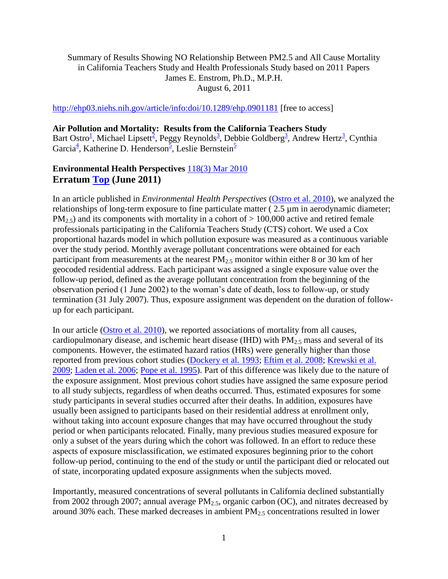### Summary of Results Showing NO Relationship Between PM2.5 and All Cause Mortality in California Teachers Study and Health Professionals Study based on 2011 Papers James E. Enstrom, Ph.D., M.P.H. August 6, 2011

<http://ehp03.niehs.nih.gov/article/info:doi/10.1289/ehp.0901181> [free to access]

### **Air Pollution and Mortality: Results from the California Teachers Study**

Bart Ostro<sup>1</sup>[,](http://ehp03.niehs.nih.gov/article/fetchArticle.action?articleURI=info%3Adoi%2F10.1289%2Fehp.0901181#aff3) Michael Lipsett<sup>[2](http://ehp03.niehs.nih.gov/article/fetchArticle.action?articleURI=info%3Adoi%2F10.1289%2Fehp.0901181#aff2)</sup>, Peggy Reynolds<sup>3</sup>, Debbie Goldberg<sup>3</sup>, Andrew Hert[z](http://ehp03.niehs.nih.gov/article/fetchArticle.action?articleURI=info%3Adoi%2F10.1289%2Fehp.0901181#aff3)<sup>3</sup>, Cynthia Garcia<sup>[4](http://ehp03.niehs.nih.gov/article/fetchArticle.action?articleURI=info%3Adoi%2F10.1289%2Fehp.0901181#aff4)</sup>, Katherine D. Henderson<sup>[5](http://ehp03.niehs.nih.gov/article/fetchArticle.action?articleURI=info%3Adoi%2F10.1289%2Fehp.0901181#aff5)</sup>, Leslie Bernstein<sup>5</sup>

# **Environmental Health Perspectives** [118\(3\) Mar 2010](http://ehp03.niehs.nih.gov/article/browseIssue.action?issue=info%3Adoi%2F10.1289%2Fissue.ehp.v118.i03) **Erratum [Top](http://ehp03.niehs.nih.gov/article/fetchArticle.action?articleURI=info%3Adoi%2F10.1289%2Fehp.0901181#top) (June 2011)**

In an article published in *Environmental Health Perspectives* [\(Ostro et al. 2010\)](http://ehp03.niehs.nih.gov/article/fetchArticle.action?articleURI=info%3Adoi%2F10.1289%2Fehp.0901181#r44), we analyzed the relationships of long-term exposure to fine particulate matter ( 2.5 µm in aerodynamic diameter;  $PM_{2.5}$ ) and its components with mortality in a cohort of  $> 100,000$  active and retired female professionals participating in the California Teachers Study (CTS) cohort. We used a Cox proportional hazards model in which pollution exposure was measured as a continuous variable over the study period. Monthly average pollutant concentrations were obtained for each participant from measurements at the nearest  $PM_{2.5}$  monitor within either 8 or 30 km of her geocoded residential address. Each participant was assigned a single exposure value over the follow-up period, defined as the average pollutant concentration from the beginning of the observation period (1 June 2002) to the woman's date of death, loss to follow-up, or study termination (31 July 2007). Thus, exposure assignment was dependent on the duration of followup for each participant.

In our article [\(Ostro et al. 2010\)](http://ehp03.niehs.nih.gov/article/fetchArticle.action?articleURI=info%3Adoi%2F10.1289%2Fehp.0901181#r44), we reported associations of mortality from all causes, cardiopulmonary disease, and ischemic heart disease (IHD) with  $PM_{2.5}$  mass and several of its components. However, the estimated hazard ratios (HRs) were generally higher than those reported from previous cohort studies [\(Dockery et al. 1993;](http://ehp03.niehs.nih.gov/article/fetchArticle.action?articleURI=info%3Adoi%2F10.1289%2Fehp.0901181#r13) [Eftim et al. 2008;](http://ehp03.niehs.nih.gov/article/fetchArticle.action?articleURI=info%3Adoi%2F10.1289%2Fehp.0901181#r14) [Krewski et al.](http://ehp03.niehs.nih.gov/article/fetchArticle.action?articleURI=info%3Adoi%2F10.1289%2Fehp.0901181#r22)  [2009;](http://ehp03.niehs.nih.gov/article/fetchArticle.action?articleURI=info%3Adoi%2F10.1289%2Fehp.0901181#r22) [Laden et al. 2006;](http://ehp03.niehs.nih.gov/article/fetchArticle.action?articleURI=info%3Adoi%2F10.1289%2Fehp.0901181#r24) [Pope et al. 1995\)](http://ehp03.niehs.nih.gov/article/fetchArticle.action?articleURI=info%3Adoi%2F10.1289%2Fehp.0901181#r36). Part of this difference was likely due to the nature of the exposure assignment. Most previous cohort studies have assigned the same exposure period to all study subjects, regardless of when deaths occurred. Thus, estimated exposures for some study participants in several studies occurred after their deaths. In addition, exposures have usually been assigned to participants based on their residential address at enrollment only, without taking into account exposure changes that may have occurred throughout the study period or when participants relocated. Finally, many previous studies measured exposure for only a subset of the years during which the cohort was followed. In an effort to reduce these aspects of exposure misclassification, we estimated exposures beginning prior to the cohort follow-up period, continuing to the end of the study or until the participant died or relocated out of state, incorporating updated exposure assignments when the subjects moved.

Importantly, measured concentrations of several pollutants in California declined substantially from 2002 through 2007; annual average PM<sub>2.5</sub>, organic carbon (OC), and nitrates decreased by around 30% each. These marked decreases in ambient  $PM_{2.5}$  concentrations resulted in lower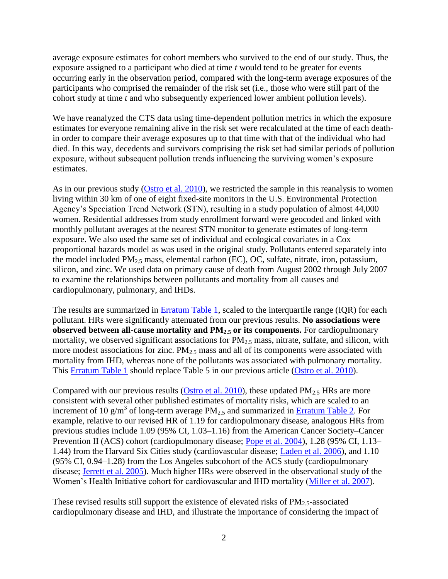average exposure estimates for cohort members who survived to the end of our study. Thus, the exposure assigned to a participant who died at time *t* would tend to be greater for events occurring early in the observation period, compared with the long-term average exposures of the participants who comprised the remainder of the risk set (i.e., those who were still part of the cohort study at time *t* and who subsequently experienced lower ambient pollution levels).

We have reanalyzed the CTS data using time-dependent pollution metrics in which the exposure estimates for everyone remaining alive in the risk set were recalculated at the time of each deathin order to compare their average exposures up to that time with that of the individual who had died. In this way, decedents and survivors comprising the risk set had similar periods of pollution exposure, without subsequent pollution trends influencing the surviving women's exposure estimates.

As in our previous study [\(Ostro et al. 2010\)](http://ehp03.niehs.nih.gov/article/fetchArticle.action?articleURI=info%3Adoi%2F10.1289%2Fehp.0901181#r44), we restricted the sample in this reanalysis to women living within 30 km of one of eight fixed-site monitors in the U.S. Environmental Protection Agency's Speciation Trend Network (STN), resulting in a study population of almost 44,000 women. Residential addresses from study enrollment forward were geocoded and linked with monthly pollutant averages at the nearest STN monitor to generate estimates of long-term exposure. We also used the same set of individual and ecological covariates in a Cox proportional hazards model as was used in the original study. Pollutants entered separately into the model included  $PM_{2.5}$  mass, elemental carbon (EC), OC, sulfate, nitrate, iron, potassium, silicon, and zinc. We used data on primary cause of death from August 2002 through July 2007 to examine the relationships between pollutants and mortality from all causes and cardiopulmonary, pulmonary, and IHDs.

The results are summarized in [Erratum Table 1,](http://ehp03.niehs.nih.gov/article/fetchArticle.action?articleURI=info%3Adoi%2F10.1289%2Fehp.0901181#t7) scaled to the interquartile range (IQR) for each pollutant. HRs were significantly attenuated from our previous results. **No associations were observed between all-cause mortality and PM2.5 or its components.** For cardiopulmonary mortality, we observed significant associations for  $PM_{2.5}$  mass, nitrate, sulfate, and silicon, with more modest associations for zinc.  $PM<sub>2.5</sub>$  mass and all of its components were associated with mortality from IHD, whereas none of the pollutants was associated with pulmonary mortality. This [Erratum Table 1](http://ehp03.niehs.nih.gov/article/fetchArticle.action?articleURI=info%3Adoi%2F10.1289%2Fehp.0901181#t7) should replace Table 5 in our previous article [\(Ostro et al. 2010\)](http://ehp03.niehs.nih.gov/article/fetchArticle.action?articleURI=info%3Adoi%2F10.1289%2Fehp.0901181#r44).

Compared with our previous results [\(Ostro et al. 2010\)](http://ehp03.niehs.nih.gov/article/fetchArticle.action?articleURI=info%3Adoi%2F10.1289%2Fehp.0901181#r44), these updated  $PM_{2.5}$  HRs are more consistent with several other published estimates of mortality risks, which are scaled to an increment of 10 g/m<sup>3</sup> of long-term average  $PM_{2.5}$  and summarized in **Erratum Table 2**. For example, relative to our revised HR of 1.19 for cardiopulmonary disease, analogous HRs from previous studies include 1.09 (95% CI, 1.03–1.16) from the American Cancer Society–Cancer Prevention II (ACS) cohort (cardiopulmonary disease; [Pope et al. 2004\)](http://ehp03.niehs.nih.gov/article/fetchArticle.action?articleURI=info%3Adoi%2F10.1289%2Fehp.0901181#r35), 1.28 (95% CI, 1.13– 1.44) from the Harvard Six Cities study (cardiovascular disease; [Laden et al. 2006\)](http://ehp03.niehs.nih.gov/article/fetchArticle.action?articleURI=info%3Adoi%2F10.1289%2Fehp.0901181#r24), and 1.10 (95% CI, 0.94–1.28) from the Los Angeles subcohort of the ACS study (cardiopulmonary disease; [Jerrett et al. 2005\)](http://ehp03.niehs.nih.gov/article/fetchArticle.action?articleURI=info%3Adoi%2F10.1289%2Fehp.0901181#r21). Much higher HRs were observed in the observational study of the Women's Health Initiative cohort for cardiovascular and IHD mortality [\(Miller et al. 2007\)](http://ehp03.niehs.nih.gov/article/fetchArticle.action?articleURI=info%3Adoi%2F10.1289%2Fehp.0901181#r29).

These revised results still support the existence of elevated risks of  $PM_{2.5}$ -associated cardiopulmonary disease and IHD, and illustrate the importance of considering the impact of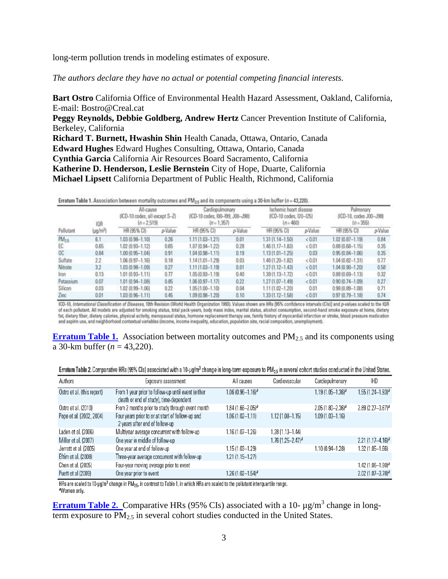long-term pollution trends in modeling estimates of exposure.

*The authors declare they have no actual or potential competing financial interests.*

**Bart Ostro** California Office of Environmental Health Hazard Assessment, Oakland, California, E-mail: Bostro@Creal.cat

**Peggy Reynolds, Debbie Goldberg, Andrew Hertz** Cancer Prevention Institute of California, Berkeley, California

**Richard T. Burnett, Hwashin Shin** Health Canada, Ottawa, Ontario, Canada **Edward Hughes** Edward Hughes Consulting, Ottawa, Ontario, Canada **Cynthia Garcia** California Air Resources Board Sacramento, California **Katherine D. Henderson, Leslie Bernstein** City of Hope, Duarte, California **Michael Lipsett** California Department of Public Health, Richmond, California

| Erratum Table 1. Association between mortality outcomes and PM <sub>25</sub> and its components using a 30-km buffer (n = 43,220). |
|------------------------------------------------------------------------------------------------------------------------------------|
|------------------------------------------------------------------------------------------------------------------------------------|

|                | IOR           | All-cause<br>(ICD-10 codes, all except S-Z)<br>$[n = 2, 519]$ |         | Cardiopulmonary<br>(ICD-10 codes, I00-89, J00-J98)<br>$(n = 1, 357)$ |         | Ischemic heart disease<br>(ICD-10 codes, I20-I25)<br>$(n = 460)$ |         | Pulmonary<br>(ICD-10, codes J00-J98)<br>$(n = 355)$ |         |
|----------------|---------------|---------------------------------------------------------------|---------|----------------------------------------------------------------------|---------|------------------------------------------------------------------|---------|-----------------------------------------------------|---------|
| Pollutant      | $(\mu q/m^3)$ | HR (95% CI)                                                   | p-Value | HR (95% CI)                                                          | p-Value | HR (95% CI)                                                      | p-Value | HR (95% CT)                                         | p-Value |
| $PM_{25}$      | 6.1           | 1.03 (0.98-1.10)                                              | 0.26    | 1.11 (1.03-1.21)                                                     | 0.01    | 1.31 (1.14-1.50)                                                 | < 0.01  | $1.02$ $(0.87 - 1.19)$                              | 0.84    |
| EC             | 0.65          | 1.02 (0.93-1.12)                                              | 0.65    | $1.07$ $(0.94 - 1.22)$                                               | 0.28    | 46 (1.17-1.83)                                                   | < 0.01  | $0.88$ $(0.68 - 1.15)$                              | 0.35    |
| OC.            | 0.84          | 1.00 (0.95-1.04)                                              | 0.91    | $1.04(0.98 - 1.11)$                                                  | 0.19    | $1.1311.01 - 1.25$                                               | 0.03    | $0.9510.84 - 1.061$                                 | 0.35    |
| Sulfate        | 2.2           | 1.06 (0.97-1.16)                                              | 0.18    | $1.14(1.01 - 1.29)$                                                  | 0.03    | 48 (1.20-1.82)                                                   | < 0.01  | 1.04 (0.82-1.31)                                    | 0.77    |
| Nitrate        | 3.2           | 1.03 (0.98-1.09)                                              | 0.27    | $1.11(1.03 - 1.19)$                                                  | 0.01    | $1.27(1.12 - 1.43)$                                              | < 0.01  | 1.04 (0.90-1.20)                                    | 0.58    |
| Iron           | 0.13          | 1.01 (0.93-1.11)                                              | 0.77    | $1.05(0.93 - 1.19)$                                                  | 0.40    | 1.39 (1.13-1.72)                                                 | < 0.01  | $0.8810.69 - 1.131$                                 | 0.32    |
| Potassium      | 0.07          | 1.01 (0.94-1.08)                                              | 0.85    | $1.06(0.97 - 1.17)$                                                  | 0.22    | $1.27(1.07 - 1.49)$                                              | < 0.01  | $0.9010.74 - 1.09$                                  | 0.27    |
| <b>Silicon</b> | 0.03          | 1.02 (0.99-1.06)                                              | 0.22    | 1.05 (1.00-1.10)                                                     | 0.04    | 1.11 (1.02-1.20)                                                 | 0.01    | $0.98(0.89 - 1.08)$                                 | 0.71    |
| Zinc           | 0.01          | 1.03 (0.96-1.11)                                              | 0.45    | 1.09 (0.98-1.20)                                                     | 0.10    | 33 (1.12-1.58)                                                   | < 0.01  | $0.9710.79 - 1.181$                                 | 0.74    |

ICD-10, International Classification of Diseases, 10th Revision (World Health Organization 1993). Values shown are HRs (95% confidence intervals (Cls)] and p-values scaled to the IQR of each pollutant. All models are adjusted for smoking status, total pack-years, body mass index, marital status, alcohol consumption, second-hand smoke exposure at home, dietary fat, dietary fiber, dietary calories, physical activity, menopausal status, hormone replacement therapy use, family history of myocardial infarction or stroke, blood pressure medication<br>and aspirin use, and neighborhood co

**Erratum Table 1.** Association between mortality outcomes and PM<sub>2.5</sub> and its components using a 30-km buffer (*n* = 43,220).

| Erratum Table 2. Comparative HRs (95% Cls) associated with a 10-µg/m <sup>3</sup> change in long-term exposure to PM <sub>2.5</sub> in several cohort studies conducted in the United States. |  |  |  |  |  |  |  |
|-----------------------------------------------------------------------------------------------------------------------------------------------------------------------------------------------|--|--|--|--|--|--|--|
|-----------------------------------------------------------------------------------------------------------------------------------------------------------------------------------------------|--|--|--|--|--|--|--|

| Authors                    | Exposure assessment                                                                          | All causes              | Cardiovascular        | Cardiopulmonary         | <b>IHD</b>                      |
|----------------------------|----------------------------------------------------------------------------------------------|-------------------------|-----------------------|-------------------------|---------------------------------|
| Ostro et al. (this report) | From 1 year prior to follow-up until event (either<br>death or end of study), time-dependent | $1.06(0.96 - 1.16)^{a}$ |                       | $1.19(1.05 - 1.36)^{a}$ | $1.55(1.24 - 1.93)^{a}$         |
| Ostro et al. (2010)        | From 2 months prior to study through event month                                             | $1.84(1.66 - 2.05)^{a}$ |                       | $2.05(1.80 - 2.36)^{a}$ | 2.89 $(2.27 - 3.67)^a$          |
| Pope et al. (2002, 2004)   | Four years prior to or at start of follow-up and<br>2 years after end of follow-up           | $1.06(1.02 - 1.11)$     | $1.12(1.08 - 1.15)$   | $1.09(1.03 - 1.16)$     |                                 |
| Laden et al. (2006)        | Multiyear average concurrent with follow-up                                                  | $1.16(1.07 - 1.26)$     | $1.28(1.13 - 1.44)$   |                         |                                 |
| Miller et al. (2007)       | One year in middle of follow-up                                                              |                         | $1.76(1.25 - 2.47)^a$ |                         | $2.21(1.17 - 4.16)^{a}$         |
| Jerrett et al. (2005)      | One year at end of follow-up                                                                 | $1.15(1.03 - 1.29)$     |                       | 1.10 (0.94–1.28)        | $1.32(1.05 - 1.66)$             |
| Eftim et al. (2008)        | Three-year average concurrent with follow-up                                                 | $1.21(1.15 - 1.27)$     |                       |                         |                                 |
| Chen et al. (2005)         | Four-year moving average prior to event                                                      |                         |                       |                         | $1.42(1.06 - 1.90)^{a}$         |
| Puett et al (2009)         | One year prior to event                                                                      | $1.26(1.02 - 1.54)^{a}$ |                       |                         | $2.02$ (1.07-3.78) <sup>a</sup> |

HRs are scaled to 10-µg/m<sup>3</sup> change in PM<sub>25</sub>, in contrast to Table 1, in which HRs are scaled to the pollutant interquartile range. <sup>a</sup>Women only.

**Erratum Table 2.** Comparative HRs (95% CIs) associated with a 10- μg/m<sup>3</sup> change in longterm exposure to  $\overline{PM}_2$  in several cohort studies conducted in the United States.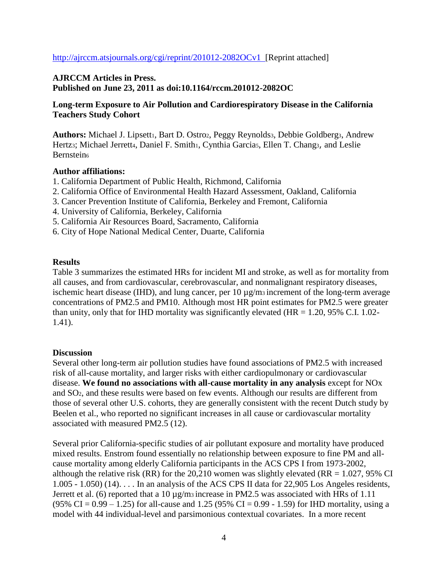<http://ajrccm.atsjournals.org/cgi/reprint/201012-2082OCv1>[Reprint attached]

## **AJRCCM Articles in Press. Published on June 23, 2011 as doi:10.1164/rccm.201012-2082OC**

## **Long-term Exposure to Air Pollution and Cardiorespiratory Disease in the California Teachers Study Cohort**

Authors: Michael J. Lipsett<sub>1</sub>, Bart D. Ostro2, Peggy Reynolds3, Debbie Goldberg3, Andrew Hertzs; Michael Jerrett4, Daniel F. Smith1, Cynthia Garcias, Ellen T. Chang3, and Leslie Bernstein<sub>6</sub>

#### **Author affiliations:**

- 1. California Department of Public Health, Richmond, California
- 2. California Office of Environmental Health Hazard Assessment, Oakland, California
- 3. Cancer Prevention Institute of California, Berkeley and Fremont, California
- 4. University of California, Berkeley, California
- 5. California Air Resources Board, Sacramento, California
- 6. City of Hope National Medical Center, Duarte, California

#### **Results**

Table 3 summarizes the estimated HRs for incident MI and stroke, as well as for mortality from all causes, and from cardiovascular, cerebrovascular, and nonmalignant respiratory diseases, ischemic heart disease (IHD), and lung cancer, per 10 µg/m<sup>3</sup> increment of the long-term average concentrations of PM2.5 and PM10. Although most HR point estimates for PM2.5 were greater than unity, only that for IHD mortality was significantly elevated (HR  $= 1.20, 95\%$  C.I. 1.02-1.41).

### **Discussion**

Several other long-term air pollution studies have found associations of PM2.5 with increased risk of all-cause mortality, and larger risks with either cardiopulmonary or cardiovascular disease. **We found no associations with all-cause mortality in any analysis** except for NOx and SO2, and these results were based on few events. Although our results are different from those of several other U.S. cohorts, they are generally consistent with the recent Dutch study by Beelen et al., who reported no significant increases in all cause or cardiovascular mortality associated with measured PM2.5 (12).

Several prior California-specific studies of air pollutant exposure and mortality have produced mixed results. Enstrom found essentially no relationship between exposure to fine PM and allcause mortality among elderly California participants in the ACS CPS I from 1973-2002, although the relative risk (RR) for the 20,210 women was slightly elevated (RR =  $1.027$ , 95% CI 1.005 - 1.050) (14). . . . In an analysis of the ACS CPS II data for 22,905 Los Angeles residents, Jerrett et al. (6) reported that a 10  $\mu$ g/m<sub>3</sub> increase in PM2.5 was associated with HRs of 1.11  $(95\% \text{ CI} = 0.99 - 1.25)$  for all-cause and 1.25 (95% CI = 0.99 - 1.59) for IHD mortality, using a model with 44 individual-level and parsimonious contextual covariates. In a more recent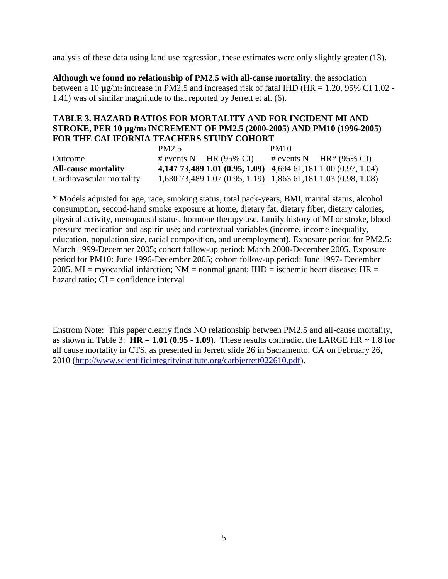analysis of these data using land use regression, these estimates were only slightly greater (13).

**Although we found no relationship of PM2.5 with all-cause mortality**, the association between a 10 **µ**g/m3 increase in PM2.5 and increased risk of fatal IHD (HR = 1.20, 95% CI 1.02 - 1.41) was of similar magnitude to that reported by Jerrett et al. (6).

## **TABLE 3. HAZARD RATIOS FOR MORTALITY AND FOR INCIDENT MI AND STROKE, PER 10 µg/m3 INCREMENT OF PM2.5 (2000-2005) AND PM10 (1996-2005) FOR THE CALIFORNIA TEACHERS STUDY COHORT**

|                            | PM2.5 |                                                               | <b>PM10</b> |                                   |
|----------------------------|-------|---------------------------------------------------------------|-------------|-----------------------------------|
| Outcome                    |       | # events N HR $(95\% \text{ CI})$                             |             | # events N $HR*(95\% \text{ CI})$ |
| <b>All-cause mortality</b> |       | 4,147 73,489 1.01 (0.95, 1.09) 4,694 61,181 1.00 (0.97, 1.04) |             |                                   |
| Cardiovascular mortality   |       | 1,630 73,489 1.07 (0.95, 1.19) 1,863 61,181 1.03 (0.98, 1.08) |             |                                   |

\* Models adjusted for age, race, smoking status, total pack-years, BMI, marital status, alcohol consumption, second-hand smoke exposure at home, dietary fat, dietary fiber, dietary calories, physical activity, menopausal status, hormone therapy use, family history of MI or stroke, blood pressure medication and aspirin use; and contextual variables (income, income inequality, education, population size, racial composition, and unemployment). Exposure period for PM2.5: March 1999-December 2005; cohort follow-up period: March 2000-December 2005. Exposure period for PM10: June 1996-December 2005; cohort follow-up period: June 1997- December 2005. MI = myocardial infarction;  $NM$  = nonmalignant;  $HID$  = ischemic heart disease;  $HR$  = hazard ratio;  $CI =$  confidence interval

Enstrom Note: This paper clearly finds NO relationship between PM2.5 and all-cause mortality, as shown in Table 3:  $HR = 1.01 (0.95 - 1.09)$ . These results contradict the LARGE HR  $\sim 1.8$  for all cause mortality in CTS, as presented in Jerrett slide 26 in Sacramento, CA on February 26, 2010 [\(http://www.scientificintegrityinstitute.org/carbjerrett022610.pdf\)](http://www.scientificintegrityinstitute.org/carbjerrett022610.pdf).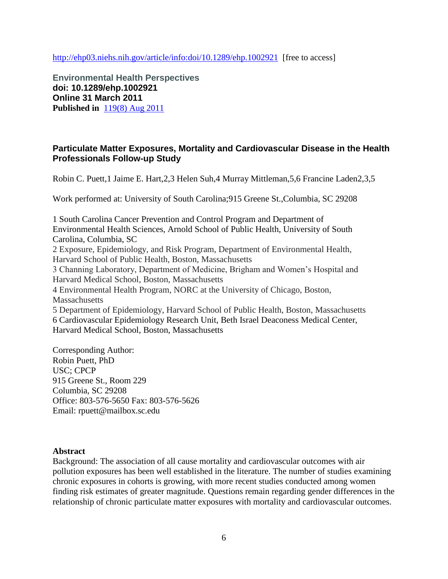<http://ehp03.niehs.nih.gov/article/info:doi/10.1289/ehp.1002921> [free to access]

**Environmental Health Perspectives doi: 10.1289/ehp.1002921 Online 31 March 2011 Published in** [119\(8\) Aug 2011](http://ehp03.niehs.nih.gov/article/browseIssue.action?issue=info%3Adoi%2F10.1289%2Fissue.ehp.v119.i08)

# **Particulate Matter Exposures, Mortality and Cardiovascular Disease in the Health Professionals Follow-up Study**

Robin C. Puett,1 Jaime E. Hart,2,3 Helen Suh,4 Murray Mittleman,5,6 Francine Laden2,3,5

Work performed at: University of South Carolina;915 Greene St.,Columbia, SC 29208

1 South Carolina Cancer Prevention and Control Program and Department of Environmental Health Sciences, Arnold School of Public Health, University of South Carolina, Columbia, SC 2 Exposure, Epidemiology, and Risk Program, Department of Environmental Health, Harvard School of Public Health, Boston, Massachusetts 3 Channing Laboratory, Department of Medicine, Brigham and Women's Hospital and Harvard Medical School, Boston, Massachusetts 4 Environmental Health Program, NORC at the University of Chicago, Boston, **Massachusetts** 5 Department of Epidemiology, Harvard School of Public Health, Boston, Massachusetts 6 Cardiovascular Epidemiology Research Unit, Beth Israel Deaconess Medical Center, Harvard Medical School, Boston, Massachusetts

Corresponding Author: Robin Puett, PhD USC; CPCP 915 Greene St., Room 229 Columbia, SC 29208 Office: 803-576-5650 Fax: 803-576-5626 Email: rpuett@mailbox.sc.edu

#### **Abstract**

Background: The association of all cause mortality and cardiovascular outcomes with air pollution exposures has been well established in the literature. The number of studies examining chronic exposures in cohorts is growing, with more recent studies conducted among women finding risk estimates of greater magnitude. Questions remain regarding gender differences in the relationship of chronic particulate matter exposures with mortality and cardiovascular outcomes.